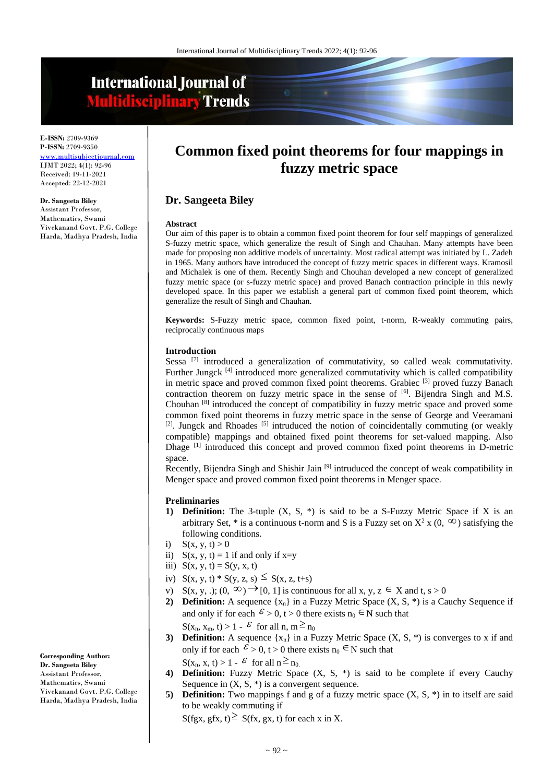# **International Journal of Multidisciplinary Trends**

**E-ISSN:** 2709-9369 **P-ISSN:** 2709-9350 <www.multisubjectjournal.com> IJMT 2022; 4(1): 92-96 Received: 19-11-2021 Accepted: 22-12-2021

#### **Dr. Sangeeta Biley**

Assistant Professor, Mathematics, Swami Vivekanand Govt. P.G. College Harda, Madhya Pradesh, India

## **Common fixed point theorems for four mappings in fuzzy metric space**

## **Dr. Sangeeta Biley**

#### **Abstract**

Our aim of this paper is to obtain a common fixed point theorem for four self mappings of generalized S-fuzzy metric space, which generalize the result of Singh and Chauhan. Many attempts have been made for proposing non additive models of uncertainty. Most radical attempt was initiated by L. Zadeh in 1965. Many authors have introduced the concept of fuzzy metric spaces in different ways. Kramosil and Michalek is one of them. Recently Singh and Chouhan developed a new concept of generalized fuzzy metric space (or s-fuzzy metric space) and proved Banach contraction principle in this newly developed space. In this paper we establish a general part of common fixed point theorem, which generalize the result of Singh and Chauhan.

**Keywords:** S-Fuzzy metric space, common fixed point, t-norm, R-weakly commuting pairs, reciprocally continuous maps

#### **Introduction**

Sessa<sup>[7]</sup> introduced a generalization of commutativity, so called weak commutativity. Further Jungck <sup>[4]</sup> introduced more generalized commutativity which is called compatibility in metric space and proved common fixed point theorems. Grabiec [3] proved fuzzy Banach contraction theorem on fuzzy metric space in the sense of  $^{[6]}$ . Bijendra Singh and M.S. Chouhan [8] introduced the concept of compatibility in fuzzy metric space and proved some common fixed point theorems in fuzzy metric space in the sense of George and Veeramani  $[2]$ . Jungck and Rhoades  $[5]$  intruduced the notion of coincidentally commuting (or weakly compatible) mappings and obtained fixed point theorems for set-valued mapping. Also Dhage [1] introduced this concept and proved common fixed point theorems in D-metric space.

Recently, Bijendra Singh and Shishir Jain <sup>[9]</sup> intruduced the concept of weak compatibility in Menger space and proved common fixed point theorems in Menger space.

#### **Preliminaries**

- **1) Definition:** The 3-tuple (X, S, \*) is said to be a S-Fuzzy Metric Space if X is an arbitrary Set,  $*$  is a continuous t-norm and S is a Fuzzy set on  $X^2$  x (0,  $\infty$ ) satisfying the following conditions.
- i)  $S(x, y, t) > 0$
- ii)  $S(x, y, t) = 1$  if and only if  $x=y$
- iii)  $S(x, y, t) = S(y, x, t)$
- iv)  $S(x, y, t) * S(y, z, s) \leq S(x, z, t+s)$
- v)  $S(x, y, .); (0, \infty) \rightarrow [0, 1]$  is continuous for all  $x, y, z \in X$  and  $t, s > 0$
- **2) Definition:** A sequence  $\{x_n\}$  in a Fuzzy Metric Space  $(X, S, *)$  is a Cauchy Sequence if and only if for each  $\mathcal{E} > 0$ ,  $t > 0$  there exists  $n_0 \in N$  such that  $S(x_n, x_m, t) > 1 - \varepsilon$  for all  $n, m \ge n_0$
- **3) Definition:** A sequence  $\{x_n\}$  in a Fuzzy Metric Space  $(X, S, *)$  is converges to x if and only if for each  $\mathcal{E} > 0$ ,  $t > 0$  there exists  $n_0 \in N$  such that  $S(x_n, x, t) > 1 - \mathcal{E}$  for all  $n \ge n_0$ .
- **4) Definition:** Fuzzy Metric Space (X, S, \*) is said to be complete if every Cauchy Sequence in  $(X, S, *)$  is a convergent sequence.
- **5) Definition:** Two mappings f and g of a fuzzy metric space  $(X, S, *)$  in to itself are said to be weakly commuting if

 $S(fgx, gfx, t) \geq S(fx, gx, t)$  for each x in X.

**Corresponding Author: Dr. Sangeeta Biley** Assistant Professor, Mathematics, Swami Vivekanand Govt. P.G. College Harda, Madhya Pradesh, India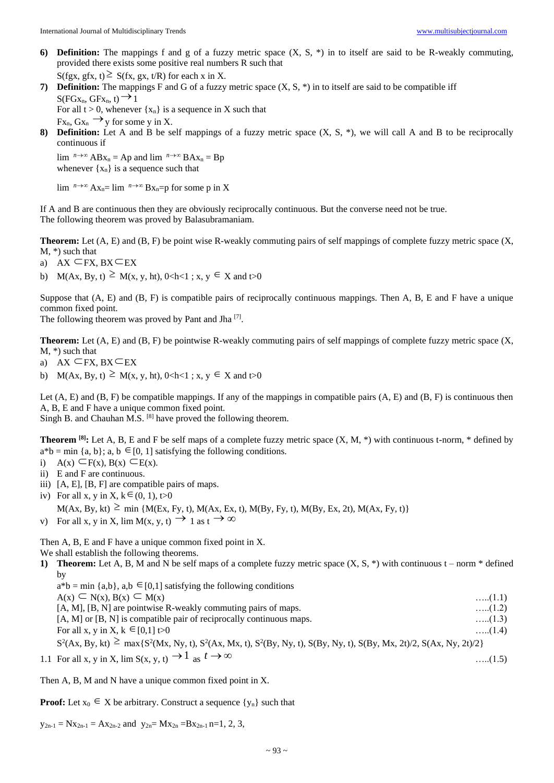**6) Definition:** The mappings f and g of a fuzzy metric space  $(X, S, *)$  in to itself are said to be R-weakly commuting, provided there exists some positive real numbers R such that

 $S(fgx, gfx, t) \geq S(fx, gx, t/R)$  for each x in X.

**7) Definition:** The mappings F and G of a fuzzy metric space (X, S, \*) in to itself are said to be compatible iff  $S(FGx_n, GFx_n, t) \rightarrow 1$ For all  $t > 0$ , whenever  $\{x_n\}$  is a sequence in X such that

 $Fx_{n}, Gx_{n} \rightarrow y$  for some y in X.

**8) Definition:** Let A and B be self mappings of a fuzzy metric space (X, S, \*), we will call A and B to be reciprocally continuous if

 $\lim_{n \to \infty} A B x_n = A p$  and  $\lim_{n \to \infty} B A x_n = B p$ whenever  $\{x_n\}$  is a sequence such that

 $\lim_{n \to \infty} A x_n = \lim_{n \to \infty} B x_n = p$  for some p in X

If A and B are continuous then they are obviously reciprocally continuous. But the converse need not be true. The following theorem was proved by Balasubramaniam.

**Theorem:** Let (A, E) and (B, F) be point wise R-weakly commuting pairs of self mappings of complete fuzzy metric space (X, M, \*) such that

- a) AX ⊂FX, BX⊂EX
- b)  $M(Ax, By, t) \geq M(x, y, ht), 0 < h < 1$ ;  $x, y \in X$  and  $t > 0$

Suppose that (A, E) and (B, F) is compatible pairs of reciprocally continuous mappings. Then A, B, E and F have a unique common fixed point.

The following theorem was proved by Pant and Jha<sup>[7]</sup>.

**Theorem:** Let (A, E) and (B, F) be pointwise R-weakly commuting pairs of self mappings of complete fuzzy metric space (X, M, \*) such that

- a) AX  $\subseteq$  FX, BX  $\subseteq$  EX
- b)  $M(Ax, By, t) \geq M(x, y, ht), 0 < h < 1$ ;  $x, y \in X$  and  $t > 0$

Let  $(A, E)$  and  $(B, F)$  be compatible mappings. If any of the mappings in compatible pairs  $(A, E)$  and  $(B, F)$  is continuous then A, B, E and F have a unique common fixed point.

Singh B. and Chauhan M.S. [8] have proved the following theorem.

**Theorem <sup>[8]</sup>**: Let A, B, E and F be self maps of a complete fuzzy metric space  $(X, M, *)$  with continuous t-norm, \* defined by  $a^*b = \min \{a, b\}; a, b \in [0, 1]$  satisfying the following conditions.

- i)  $A(x) \subseteq F(x), B(x) \subseteq E(x)$ .
- ii) E and F are continuous.
- iii) [A, E], [B, F] are compatible pairs of maps.
- iv) For all x, y in X,  $k \in (0, 1)$ , t $>0$

 $M(Ax, By, kt) \ge \min \{M(EX, Fy, t), M(Ax, Ex, t), M(By, Fy, t), M(By, Ex, 2t), M(Ax, Fy, t)\}\$ 

v) For all x, y in X, lim M(x, y, t)  $\rightarrow 1$  as  $t \rightarrow \infty$ 

Then A, B, E and F have a unique common fixed point in X.

We shall establish the following theorems.

**1) Theorem:** Let A, B, M and N be self maps of a complete fuzzy metric space  $(X, S, *)$  with continuous  $t - norm * defined$ by

 $a^*b = \min\{a,b\}, a,b \in [0,1]$  satisfying the following conditions  $A(x) \subseteq N(x), B(x) \subseteq$  $M(x)$  …..(1.1) [A, M], [B, N] are pointwise R-weakly commuting pairs of maps. …..(1.2) [A, M] or [B, N] is compatible pair of reciprocally continuous maps. …..(1.3) For all x, y in X,  $k \in$  $[0,1]$  t>0 …..(1.4)  $S^2(Ax, By, kt) \ge \max\{S^2(Mx, Ny, t), S^2(Ax, Mx, t), S^2(By, Ny, t), S(By, Ny, t), S(By, Mx, 2t)/2, S(Ax, Ny, 2t)/2\}$ …..(1.5)

1.1 For all x, y in X,  $\lim S(x, y, t) \rightarrow 1$  as  $t \rightarrow \infty$ 

Then A, B, M and N have a unique common fixed point in X.

**Proof:** Let  $x_0 \in X$  be arbitrary. Construct a sequence  $\{y_n\}$  such that

 $y_{2n-1} = Nx_{2n-1} = Ax_{2n-2}$  and  $y_{2n} = Mx_{2n} = Bx_{2n-1}$  n=1, 2, 3,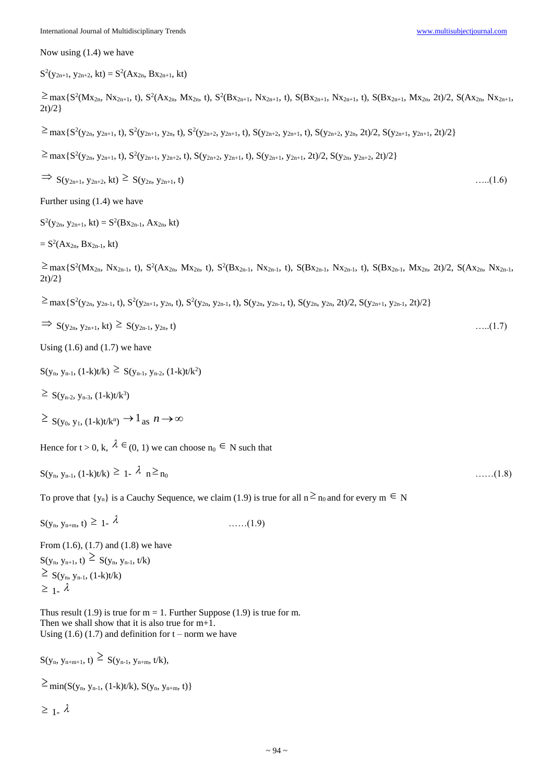Now using (1.4) we have

 $S^2(y_{2n+1}, y_{2n+2}, kt) = S^2(Ax_{2n}, Bx_{2n+1}, kt)$ 

 $\geq$  max{S<sup>2</sup>(Mx<sub>2n</sub>, Nx<sub>2n+1</sub>, t), S<sup>2</sup>(Ax<sub>2n</sub>, Mx<sub>2n</sub>, t), S<sup>2</sup>(Bx<sub>2n+1</sub>, Nx<sub>2n+1</sub>, t), S(Bx<sub>2n+1</sub>, Nx<sub>2n+1</sub>, t), S(Bx<sub>2n+1</sub>, Mx<sub>2n</sub>, 2t)/2, S(Ax<sub>2n</sub>, Nx<sub>2n+1</sub>,  $2t)/2$ }

 $\geq$  max{S<sup>2</sup>(y<sub>2n</sub>, y<sub>2n+1</sub>, t), S<sup>2</sup>(y<sub>2n+1</sub>, y<sub>2n</sub>, t), S<sup>2</sup>(y<sub>2n+2</sub>, y<sub>2n+1</sub>, t), S(y<sub>2n+2</sub>, y<sub>2n+1</sub>, t), S(y<sub>2n+2</sub>, y<sub>2n</sub>, 2t)/2, S(y<sub>2n+1</sub>, y<sub>2n+1</sub>, 2t)/2}

 $\geq$  max { S<sup>2</sup>(y<sub>2n</sub>, y<sub>2n+1</sub>, t), S<sup>2</sup>(y<sub>2n+1</sub>, y<sub>2n+2</sub>, t), S(y<sub>2n+2</sub>, y<sub>2n+1</sub>, t), S(y<sub>2n+1</sub>, y<sub>2n+1</sub>, 2t)/2, S(y<sub>2n</sub>, y<sub>2n+2</sub>, 2t)/2}

 $\Rightarrow S(y_{2n+1}, y_{2n+2}, kt) \ge S(y_{2n}, y_{2n+1}, t)$  …..(1.6)

Further using (1.4) we have

 $S^2(y_{2n}, y_{2n+1}, kt) = S^2(Bx_{2n-1}, Ax_{2n}, kt)$ 

 $= S^2(Ax_{2n}, Bx_{2n-1}, kt)$ 

 $\geq$  max{S<sup>2</sup>(Mx<sub>2n</sub>, Nx<sub>2n-1</sub>, t), S<sup>2</sup>(Ax<sub>2n</sub>, Mx<sub>2n</sub>, t), S<sup>2</sup>(Bx<sub>2n-1</sub>, Nx<sub>2n-1</sub>, t), S(Bx<sub>2n-1</sub>, Nx<sub>2n-1</sub>, t), S(Bx<sub>2n-1</sub>, Mx<sub>2n-1</sub>, Mx<sub>2n</sub>, 2t)/2, S(Ax<sub>2n</sub>, Nx<sub>2n-1</sub>,  $2t)/2$ }

 $\geq$  max{S<sup>2</sup>(y<sub>2n</sub>, y<sub>2n-1</sub>, t), S<sup>2</sup>(y<sub>2n+1</sub>, y<sub>2n</sub>, t), S<sup>2</sup>(y<sub>2n</sub>, y<sub>2n-1</sub>, t), S(y<sub>2n</sub>, y<sub>2n-1</sub>, t), S(y<sub>2n</sub>, y<sub>2n</sub>, 2t)/2, S(y<sub>2n+1</sub>, y<sub>2n-1</sub>, 2t)/2}

$$
\Rightarrow S(y_{2n}, y_{2n+1}, kt) \geq S(y_{2n-1}, y_{2n}, t) \tag{1.7}
$$

Using  $(1.6)$  and  $(1.7)$  we have

 $S(y_n, y_{n-1}, (1-k)t/k) \geq S(y_{n-1}, y_{n-2}, (1-k)t/k^2)$ 

 $\geq S(y_{n-2}, y_{n-3}, (1-k)t/k^3)$ 

$$
\geq S(y_0, y_1, (1-k)t/k^n) \to 1_{\text{as}} n \to \infty
$$

Hence for  $t > 0$ , k,  $\lambda \in (0, 1)$  we can choose  $n_0 \in N$  such that

| $S(y_n, y_{n-1}, (1-k)t/k) \ge 1 - \lambda_n \ge n_0$<br>$\ldots \ldots (1.8)$ |
|--------------------------------------------------------------------------------|
|--------------------------------------------------------------------------------|

To prove that  $\{y_n\}$  is a Cauchy Sequence, we claim (1.9) is true for all  $n \ge n_0$  and for every  $m \in N$ 

 $S(y_n, y_{n+m}, t) \geq 1 - \lambda$ ……(1.9)

From (1.6), (1.7) and (1.8) we have  $S(y_n, y_{n+1}, t) \geq S(y_n, y_{n-1}, t/k)$  $\geq S(y_n, y_{n-1}, (1-k)t/k)$  $\geq 1-\lambda$ 

Thus result (1.9) is true for  $m = 1$ . Further Suppose (1.9) is true for m. Then we shall show that it is also true for m+1. Using  $(1.6)$   $(1.7)$  and definition for t – norm we have

 $S(y_n, y_{n+m+1}, t) \geq S(y_{n-1}, y_{n+m}, t/k),$ 

 $\geq$  min(S(y<sub>n</sub>, y<sub>n-1</sub>, (1-k)t/k), S(y<sub>n</sub>, y<sub>n+m</sub>, t)}

 $\geq 1-\lambda$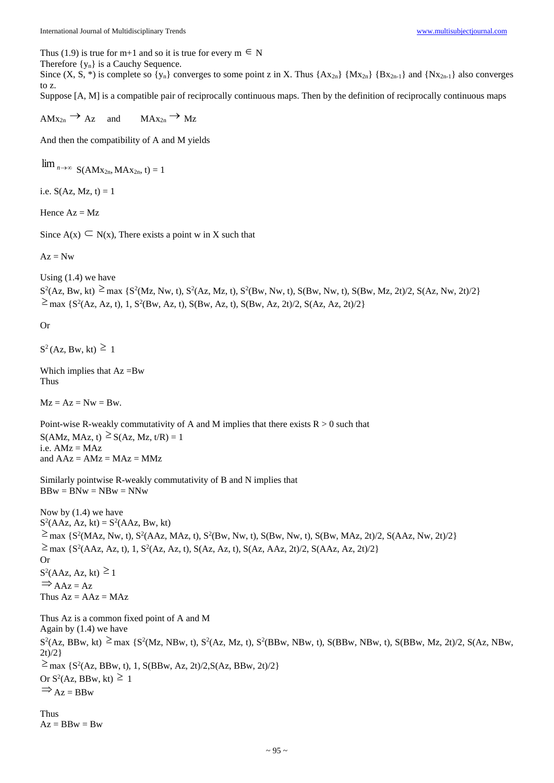Thus (1.9) is true for m+1 and so it is true for every  $m \in N$ 

Therefore  $\{y_n\}$  is a Cauchy Sequence.

Since  $(X, S, *)$  is complete so  $\{y_n\}$  converges to some point z in X. Thus  $\{Ax_{2n}\}\{Mx_{2n}\}\{Bx_{2n-1}\}\$ and  $\{Nx_{2n-1}\}\$ also converges to z.

Suppose [A, M] is a compatible pair of reciprocally continuous maps. Then by the definition of reciprocally continuous maps

 $AMx_{2n} \rightarrow Az$  and Az and  $MAX_{2n} \rightarrow Mz$ 

And then the compatibility of A and M yields

 $\lim_{n\to\infty} S(AMx_{2n}, MAX_{2n}, t) = 1$ 

i.e.  $S(Az, Mz, t) = 1$ 

Hence  $Az = Mz$ 

Since  $A(x) \subseteq N(x)$ , There exists a point w in X such that

 $Az = Nw$ 

Using (1.4) we have

 $S^2(Az, Bw, kt) \ge \max \{ S^2(Mz, Nw, t), S^2(Az, Mz, t), S^2(Bw, Nw, t), S(Bw, Nw, t), S(Bw, Mz, 2t)/2, S(Az, Nw, 2t)/2 \}$  $\geq$  max {S<sup>2</sup>(Az, Az, t), 1, S<sup>2</sup>(Bw, Az, t), S(Bw, Az, t), S(Bw, Az, 2t)/2, S(Az, Az, 2t)/2}

Or

 $S^2$ (Az, Bw, kt)  $\geq 1$ 

Which implies that  $Az = Bw$ Thus

 $Mz = Az = Nw = Bw$ .

Point-wise R-weakly commutativity of A and M implies that there exists  $R > 0$  such that  $S(AMz, MAz, t) \geq S(Az, Mz, t/R) = 1$  $i.e. AMz = MAz$ and  $AAz = AMz = MAz = MMz$ 

Similarly pointwise R-weakly commutativity of B and N implies that  $BBw = BNw = NBw = NNw$ 

Now by (1.4) we have  $S^2(AAz, Az, kt) = S^2(AAz, Bw, kt)$  $\geq$  max {S<sup>2</sup>(MAz, Nw, t), S<sup>2</sup>(AAz, MAz, t), S<sup>2</sup>(Bw, Nw, t), S(Bw, Nw, t), S(Bw, MAz, 2t)/2, S(AAz, Nw, 2t)/2}  $\geq$  max {S<sup>2</sup>(AAz, Az, t), 1, S<sup>2</sup>(Az, Az, t), S(Az, Az, t), S(Az, AAz, 2t)/2, S(AAz, Az, 2t)/2} Or  $S^2(AAz, Az, kt) \ge 1$  $\Rightarrow$  AAz = Az Thus  $Az = AAz = MAz$ Thus Az is a common fixed point of A and M Again by (1.4) we have  $S^2(Az, BBw, kt) \geq max \{ S^2(Mz, NBw, t), S^2(Az, Mz, t), S^2(BBw, NBw, t), S(BBw, NBw, t), S(BBw, Mz, 2t)/2, S(Az, NBw, t), S^2(Bw, Nz, t), S^2(Bw, Nz, t), S^2(Bw, Nz, t), S^2(Bw, Nz, t), S^2(Bw, Nz, t), S^2(Bw, Nz, t), S^2(Bw, Nz, t), S^2(Bw, Nz, t), S^2(Bw, Nz, t), S^2(Bw, Nz, t), S^2(Bw, Nz, t), S^2(Bw, Nz, t), S^2(B$ 

 $2t)/2$ }  $\geq$  max {S<sup>2</sup>(Az, BBw, t), 1, S(BBw, Az, 2t)/2, S(Az, BBw, 2t)/2} Or  $S^2(Az, BBw, kt) \ge 1$  $\Rightarrow$  Az = BBw

Thus  $Az = BBw = Bw$